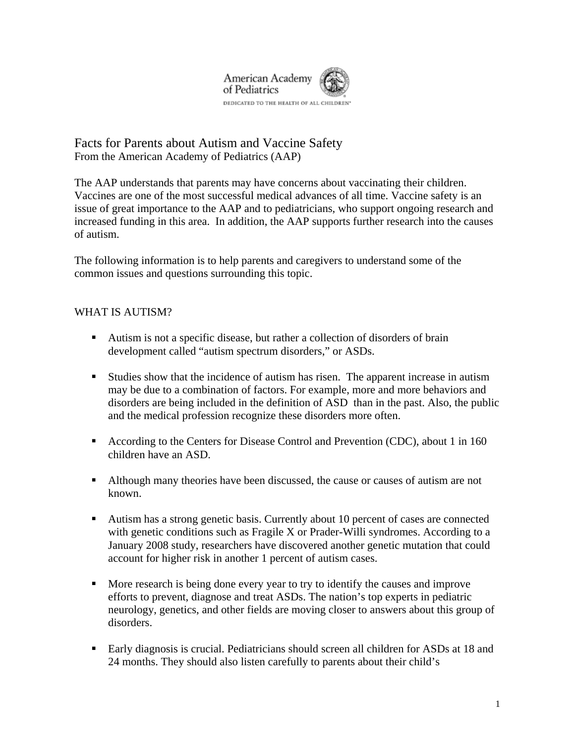

Facts for Parents about Autism and Vaccine Safety From the American Academy of Pediatrics (AAP)

The AAP understands that parents may have concerns about vaccinating their children. Vaccines are one of the most successful medical advances of all time. Vaccine safety is an issue of great importance to the AAP and to pediatricians, who support ongoing research and increased funding in this area. In addition, the AAP supports further research into the causes of autism.

The following information is to help parents and caregivers to understand some of the common issues and questions surrounding this topic.

## WHAT IS AUTISM?

- Autism is not a specific disease, but rather a collection of disorders of brain development called "autism spectrum disorders," or ASDs.
- Studies show that the incidence of autism has risen. The apparent increase in autism may be due to a combination of factors. For example, more and more behaviors and disorders are being included in the definition of ASD than in the past. Also, the public and the medical profession recognize these disorders more often.
- According to the Centers for Disease Control and Prevention (CDC), about 1 in 160 children have an ASD.
- Although many theories have been discussed, the cause or causes of autism are not known.
- Autism has a strong genetic basis. Currently about 10 percent of cases are connected with genetic conditions such as Fragile X or Prader-Willi syndromes. According to a January 2008 study, researchers have discovered another genetic mutation that could account for higher risk in another 1 percent of autism cases.
- More research is being done every year to try to identify the causes and improve efforts to prevent, diagnose and treat ASDs. The nation's top experts in pediatric neurology, genetics, and other fields are moving closer to answers about this group of disorders.
- Early diagnosis is crucial. Pediatricians should screen all children for ASDs at 18 and 24 months. They should also listen carefully to parents about their child's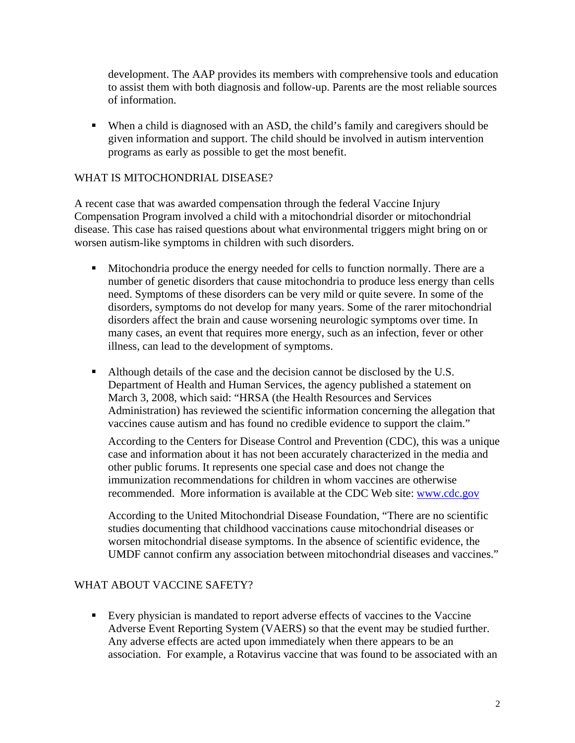development. The AAP provides its members with comprehensive tools and education to assist them with both diagnosis and follow-up. Parents are the most reliable sources of information.

 When a child is diagnosed with an ASD, the child's family and caregivers should be given information and support. The child should be involved in autism intervention programs as early as possible to get the most benefit.

## WHAT IS MITOCHONDRIAL DISEASE?

A recent case that was awarded compensation through the federal Vaccine Injury Compensation Program involved a child with a mitochondrial disorder or mitochondrial disease. This case has raised questions about what environmental triggers might bring on or worsen autism-like symptoms in children with such disorders.

- Mitochondria produce the energy needed for cells to function normally. There are a number of genetic disorders that cause mitochondria to produce less energy than cells need. Symptoms of these disorders can be very mild or quite severe. In some of the disorders, symptoms do not develop for many years. Some of the rarer mitochondrial disorders affect the brain and cause worsening neurologic symptoms over time. In many cases, an event that requires more energy, such as an infection, fever or other illness, can lead to the development of symptoms.
- Although details of the case and the decision cannot be disclosed by the U.S. Department of Health and Human Services, the agency published a statement on March 3, 2008, which said: "HRSA (the Health Resources and Services Administration) has reviewed the scientific information concerning the allegation that vaccines cause autism and has found no credible evidence to support the claim."

According to the Centers for Disease Control and Prevention (CDC), this was a unique case and information about it has not been accurately characterized in the media and other public forums. It represents one special case and does not change the immunization recommendations for children in whom vaccines are otherwise recommended. More information is available at the CDC Web site: www.cdc.gov

According to the United Mitochondrial Disease Foundation, "There are no scientific studies documenting that childhood vaccinations cause mitochondrial diseases or worsen mitochondrial disease symptoms. In the absence of scientific evidence, the UMDF cannot confirm any association between mitochondrial diseases and vaccines."

## WHAT ABOUT VACCINE SAFETY?

Every physician is mandated to report adverse effects of vaccines to the Vaccine Adverse Event Reporting System (VAERS) so that the event may be studied further. Any adverse effects are acted upon immediately when there appears to be an association. For example, a Rotavirus vaccine that was found to be associated with an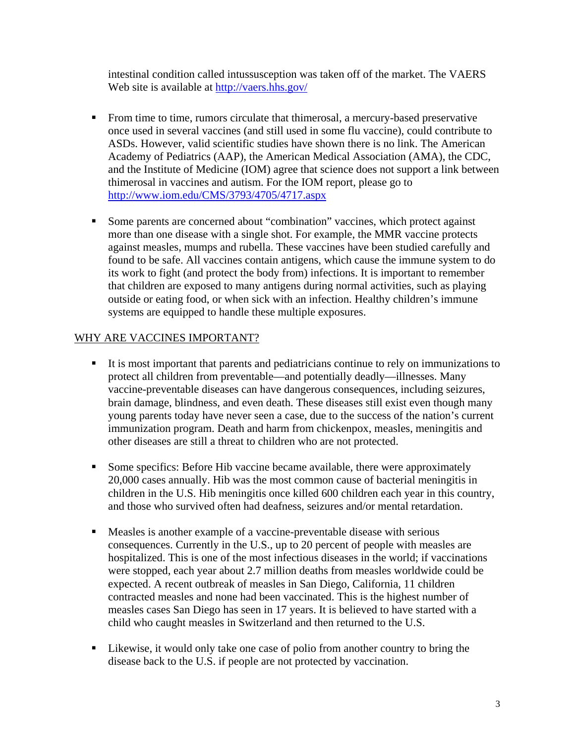intestinal condition called intussusception was taken off of the market. The VAERS Web site is available at http://vaers.hhs.gov/

- From time to time, rumors circulate that thimerosal, a mercury-based preservative once used in several vaccines (and still used in some flu vaccine), could contribute to ASDs. However, valid scientific studies have shown there is no link. The American Academy of Pediatrics (AAP), the American Medical Association (AMA), the CDC, and the Institute of Medicine (IOM) agree that science does not support a link between thimerosal in vaccines and autism. For the IOM report, please go to http://www.iom.edu/CMS/3793/4705/4717.aspx
- Some parents are concerned about "combination" vaccines, which protect against more than one disease with a single shot. For example, the MMR vaccine protects against measles, mumps and rubella. These vaccines have been studied carefully and found to be safe. All vaccines contain antigens, which cause the immune system to do its work to fight (and protect the body from) infections. It is important to remember that children are exposed to many antigens during normal activities, such as playing outside or eating food, or when sick with an infection. Healthy children's immune systems are equipped to handle these multiple exposures.

## WHY ARE VACCINES IMPORTANT?

- It is most important that parents and pediatricians continue to rely on immunizations to protect all children from preventable—and potentially deadly—illnesses. Many vaccine-preventable diseases can have dangerous consequences, including seizures, brain damage, blindness, and even death. These diseases still exist even though many young parents today have never seen a case, due to the success of the nation's current immunization program. Death and harm from chickenpox, measles, meningitis and other diseases are still a threat to children who are not protected.
- Some specifics: Before Hib vaccine became available, there were approximately 20,000 cases annually. Hib was the most common cause of bacterial meningitis in children in the U.S. Hib meningitis once killed 600 children each year in this country, and those who survived often had deafness, seizures and/or mental retardation.
- Measles is another example of a vaccine-preventable disease with serious consequences. Currently in the U.S., up to 20 percent of people with measles are hospitalized. This is one of the most infectious diseases in the world; if vaccinations were stopped, each year about 2.7 million deaths from measles worldwide could be expected. A recent outbreak of measles in San Diego, California, 11 children contracted measles and none had been vaccinated. This is the highest number of measles cases San Diego has seen in 17 years. It is believed to have started with a child who caught measles in Switzerland and then returned to the U.S.
- Likewise, it would only take one case of polio from another country to bring the disease back to the U.S. if people are not protected by vaccination.